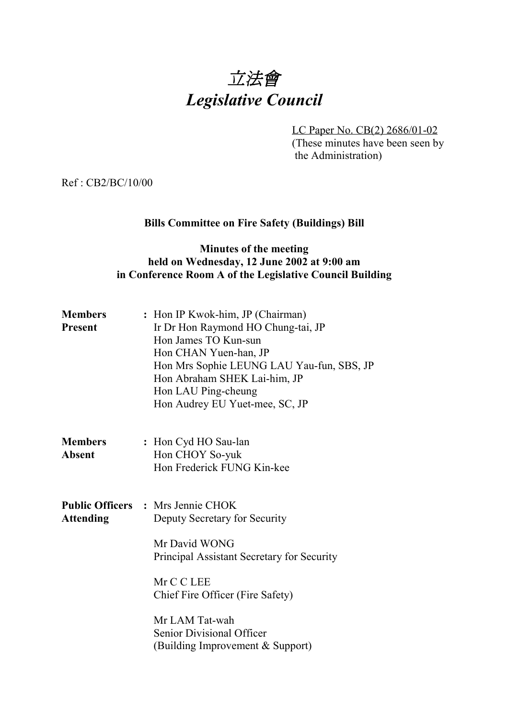

LC Paper No. CB(2) 2686/01-02 (These minutes have been seen by the Administration)

Ref : CB2/BC/10/00

## **Bills Committee on Fire Safety (Buildings) Bill**

## **Minutes of the meeting held on Wednesday, 12 June 2002 at 9:00 am in Conference Room A of the Legislative Council Building**

| <b>Members</b><br><b>Present</b> | : Hon IP Kwok-him, JP (Chairman)<br>Ir Dr Hon Raymond HO Chung-tai, JP<br>Hon James TO Kun-sun<br>Hon CHAN Yuen-han, JP<br>Hon Mrs Sophie LEUNG LAU Yau-fun, SBS, JP<br>Hon Abraham SHEK Lai-him, JP<br>Hon LAU Ping-cheung<br>Hon Audrey EU Yuet-mee, SC, JP                 |  |
|----------------------------------|-------------------------------------------------------------------------------------------------------------------------------------------------------------------------------------------------------------------------------------------------------------------------------|--|
| <b>Members</b><br><b>Absent</b>  | : Hon Cyd HO Sau-lan<br>Hon CHOY So-yuk<br>Hon Frederick FUNG Kin-kee                                                                                                                                                                                                         |  |
| <b>Attending</b>                 | <b>Public Officers : Mrs Jennie CHOK</b><br>Deputy Secretary for Security<br>Mr David WONG<br>Principal Assistant Secretary for Security<br>Mr C C LEE<br>Chief Fire Officer (Fire Safety)<br>Mr LAM Tat-wah<br>Senior Divisional Officer<br>(Building Improvement & Support) |  |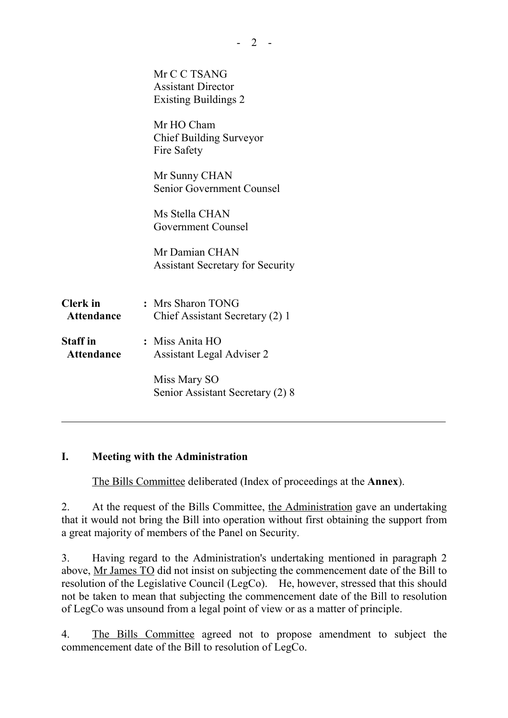|                   | Mr C C TSANG                            |  |
|-------------------|-----------------------------------------|--|
|                   | <b>Assistant Director</b>               |  |
|                   | <b>Existing Buildings 2</b>             |  |
|                   | Mr HO Cham                              |  |
|                   | <b>Chief Building Surveyor</b>          |  |
|                   | Fire Safety                             |  |
|                   |                                         |  |
|                   | Mr Sunny CHAN                           |  |
|                   | <b>Senior Government Counsel</b>        |  |
|                   |                                         |  |
|                   | Ms Stella CHAN                          |  |
|                   | <b>Government Counsel</b>               |  |
|                   | Mr Damian CHAN                          |  |
|                   |                                         |  |
|                   | <b>Assistant Secretary for Security</b> |  |
|                   |                                         |  |
| <b>Clerk</b> in   | : Mrs Sharon TONG                       |  |
| Attendance        | Chief Assistant Secretary (2) 1         |  |
|                   |                                         |  |
| <b>Staff</b> in   | : Miss Anita HO                         |  |
| <b>Attendance</b> | Assistant Legal Adviser 2               |  |
|                   |                                         |  |
|                   | Miss Mary SO                            |  |
|                   | Senior Assistant Secretary (2) 8        |  |
|                   |                                         |  |

## **I. Meeting with the Administration**

ı

The Bills Committee deliberated (Index of proceedings at the **Annex**).

2. At the request of the Bills Committee, the Administration gave an undertaking that it would not bring the Bill into operation without first obtaining the support from a great majority of members of the Panel on Security.

3. Having regard to the Administration's undertaking mentioned in paragraph 2 above, Mr James TO did not insist on subjecting the commencement date of the Bill to resolution of the Legislative Council (LegCo). He, however, stressed that this should not be taken to mean that subjecting the commencement date of the Bill to resolution of LegCo was unsound from a legal point of view or as a matter of principle.

4. The Bills Committee agreed not to propose amendment to subject the commencement date of the Bill to resolution of LegCo.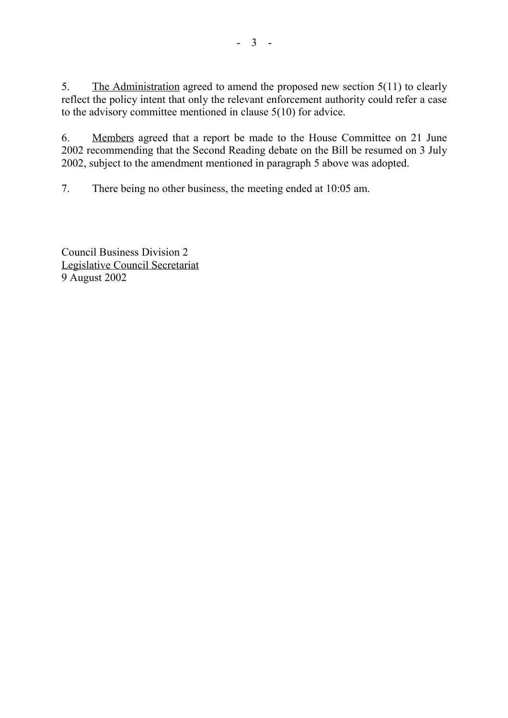5. The Administration agreed to amend the proposed new section 5(11) to clearly reflect the policy intent that only the relevant enforcement authority could refer a case to the advisory committee mentioned in clause 5(10) for advice.

6. Members agreed that a report be made to the House Committee on 21 June 2002 recommending that the Second Reading debate on the Bill be resumed on 3 July 2002, subject to the amendment mentioned in paragraph 5 above was adopted.

7. There being no other business, the meeting ended at 10:05 am.

Council Business Division 2 Legislative Council Secretariat 9 August 2002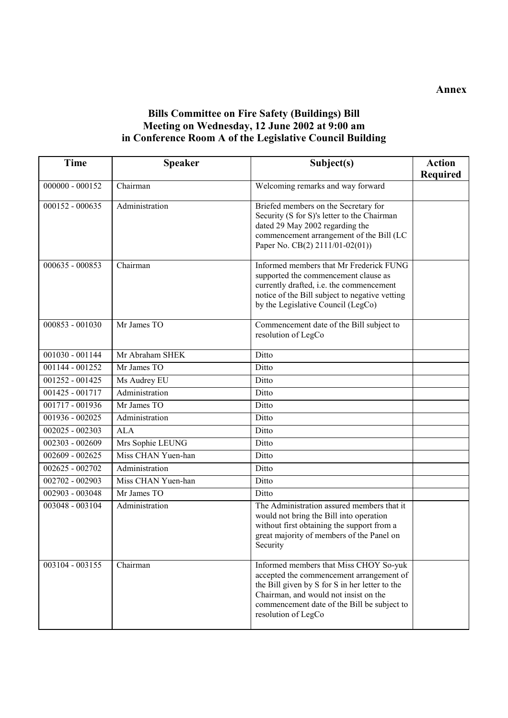## **Bills Committee on Fire Safety (Buildings) Bill Meeting on Wednesday, 12 June 2002 at 9:00 am in Conference Room A of the Legislative Council Building**

| <b>Time</b>       | <b>Speaker</b>     | Subject(s)                                                                                                                                                                                                                                          | <b>Action</b>   |
|-------------------|--------------------|-----------------------------------------------------------------------------------------------------------------------------------------------------------------------------------------------------------------------------------------------------|-----------------|
|                   |                    |                                                                                                                                                                                                                                                     | <b>Required</b> |
| $000000 - 000152$ | Chairman           | Welcoming remarks and way forward                                                                                                                                                                                                                   |                 |
| 000152 - 000635   | Administration     | Briefed members on the Secretary for<br>Security (S for S)'s letter to the Chairman<br>dated 29 May 2002 regarding the<br>commencement arrangement of the Bill (LC<br>Paper No. CB(2) 2111/01-02(01))                                               |                 |
| 000635 - 000853   | Chairman           | Informed members that Mr Frederick FUNG<br>supported the commencement clause as<br>currently drafted, i.e. the commencement<br>notice of the Bill subject to negative vetting<br>by the Legislative Council (LegCo)                                 |                 |
| 000853 - 001030   | Mr James TO        | Commencement date of the Bill subject to<br>resolution of LegCo                                                                                                                                                                                     |                 |
| $001030 - 001144$ | Mr Abraham SHEK    | Ditto                                                                                                                                                                                                                                               |                 |
| 001144 - 001252   | Mr James TO        | Ditto                                                                                                                                                                                                                                               |                 |
| 001252 - 001425   | Ms Audrey EU       | Ditto                                                                                                                                                                                                                                               |                 |
| 001425 - 001717   | Administration     | Ditto                                                                                                                                                                                                                                               |                 |
| 001717 - 001936   | Mr James TO        | Ditto                                                                                                                                                                                                                                               |                 |
| 001936 - 002025   | Administration     | Ditto                                                                                                                                                                                                                                               |                 |
| 002025 - 002303   | <b>ALA</b>         | Ditto                                                                                                                                                                                                                                               |                 |
| 002303 - 002609   | Mrs Sophie LEUNG   | Ditto                                                                                                                                                                                                                                               |                 |
| 002609 - 002625   | Miss CHAN Yuen-han | Ditto                                                                                                                                                                                                                                               |                 |
| 002625 - 002702   | Administration     | Ditto                                                                                                                                                                                                                                               |                 |
| 002702 - 002903   | Miss CHAN Yuen-han | Ditto                                                                                                                                                                                                                                               |                 |
| 002903 - 003048   | Mr James TO        | Ditto                                                                                                                                                                                                                                               |                 |
| 003048 - 003104   | Administration     | The Administration assured members that it<br>would not bring the Bill into operation<br>without first obtaining the support from a<br>great majority of members of the Panel on<br>Security                                                        |                 |
| 003104 - 003155   | Chairman           | Informed members that Miss CHOY So-yuk<br>accepted the commencement arrangement of<br>the Bill given by S for S in her letter to the<br>Chairman, and would not insist on the<br>commencement date of the Bill be subject to<br>resolution of LegCo |                 |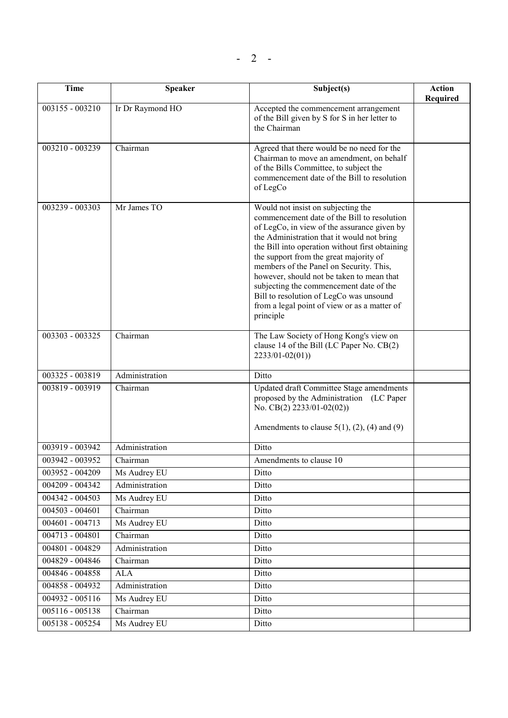| <b>Time</b>       | Speaker                      | Subject(s)                                                                                                                                                                                                                                                                                                                                                                                                                                                                                                             | <b>Action</b><br>Required |
|-------------------|------------------------------|------------------------------------------------------------------------------------------------------------------------------------------------------------------------------------------------------------------------------------------------------------------------------------------------------------------------------------------------------------------------------------------------------------------------------------------------------------------------------------------------------------------------|---------------------------|
| 003155 - 003210   | Ir Dr Raymond HO             | Accepted the commencement arrangement<br>of the Bill given by S for S in her letter to<br>the Chairman                                                                                                                                                                                                                                                                                                                                                                                                                 |                           |
| 003210 - 003239   | Chairman                     | Agreed that there would be no need for the<br>Chairman to move an amendment, on behalf<br>of the Bills Committee, to subject the<br>commencement date of the Bill to resolution<br>of LegCo                                                                                                                                                                                                                                                                                                                            |                           |
| 003239 - 003303   | Mr James TO                  | Would not insist on subjecting the<br>commencement date of the Bill to resolution<br>of LegCo, in view of the assurance given by<br>the Administration that it would not bring<br>the Bill into operation without first obtaining<br>the support from the great majority of<br>members of the Panel on Security. This,<br>however, should not be taken to mean that<br>subjecting the commencement date of the<br>Bill to resolution of LegCo was unsound<br>from a legal point of view or as a matter of<br>principle |                           |
| 003303 - 003325   | Chairman                     | The Law Society of Hong Kong's view on<br>clause 14 of the Bill (LC Paper No. CB(2)<br>$2233/01 - 02(01)$                                                                                                                                                                                                                                                                                                                                                                                                              |                           |
| 003325 - 003819   | Administration               | Ditto                                                                                                                                                                                                                                                                                                                                                                                                                                                                                                                  |                           |
| 003819 - 003919   | Chairman                     | <b>Updated draft Committee Stage amendments</b><br>proposed by the Administration (LC Paper<br>No. CB(2) $2233/01-02(02)$<br>Amendments to clause $5(1)$ , $(2)$ , $(4)$ and $(9)$                                                                                                                                                                                                                                                                                                                                     |                           |
| 003919 - 003942   | Administration               | Ditto                                                                                                                                                                                                                                                                                                                                                                                                                                                                                                                  |                           |
| 003942 - 003952   | Chairman                     | Amendments to clause 10                                                                                                                                                                                                                                                                                                                                                                                                                                                                                                |                           |
| 003952 - 004209   | Ms Audrey EU                 | Ditto                                                                                                                                                                                                                                                                                                                                                                                                                                                                                                                  |                           |
| 004209 - 004342   | Administration               | Ditto                                                                                                                                                                                                                                                                                                                                                                                                                                                                                                                  |                           |
| 004342 - 004503   | Ms Audrey EU                 | Ditto                                                                                                                                                                                                                                                                                                                                                                                                                                                                                                                  |                           |
| $004503 - 004601$ | Chairman                     | Ditto                                                                                                                                                                                                                                                                                                                                                                                                                                                                                                                  |                           |
| $004601 - 004713$ | Ms Audrey EU                 | Ditto                                                                                                                                                                                                                                                                                                                                                                                                                                                                                                                  |                           |
| 004713 - 004801   | $\overline{\text{Chairman}}$ | Ditto                                                                                                                                                                                                                                                                                                                                                                                                                                                                                                                  |                           |
| 004801 - 004829   | Administration               | Ditto                                                                                                                                                                                                                                                                                                                                                                                                                                                                                                                  |                           |
| 004829 - 004846   | Chairman                     | Ditto                                                                                                                                                                                                                                                                                                                                                                                                                                                                                                                  |                           |
| 004846 - 004858   | <b>ALA</b>                   | Ditto                                                                                                                                                                                                                                                                                                                                                                                                                                                                                                                  |                           |
| 004858 - 004932   | Administration               | Ditto                                                                                                                                                                                                                                                                                                                                                                                                                                                                                                                  |                           |
| 004932 - 005116   | Ms Audrey EU                 | Ditto                                                                                                                                                                                                                                                                                                                                                                                                                                                                                                                  |                           |
| $005116 - 005138$ | Chairman                     | Ditto                                                                                                                                                                                                                                                                                                                                                                                                                                                                                                                  |                           |
| 005138 - 005254   | Ms Audrey EU                 | Ditto                                                                                                                                                                                                                                                                                                                                                                                                                                                                                                                  |                           |